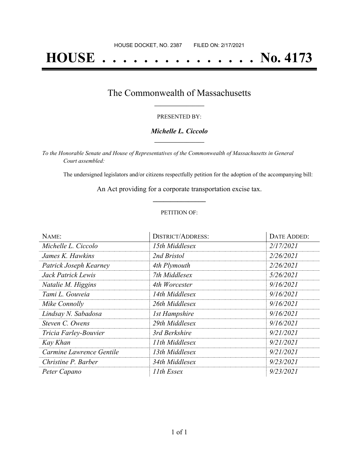# **HOUSE . . . . . . . . . . . . . . . No. 4173**

### The Commonwealth of Massachusetts **\_\_\_\_\_\_\_\_\_\_\_\_\_\_\_\_\_**

#### PRESENTED BY:

#### *Michelle L. Ciccolo* **\_\_\_\_\_\_\_\_\_\_\_\_\_\_\_\_\_**

*To the Honorable Senate and House of Representatives of the Commonwealth of Massachusetts in General Court assembled:*

The undersigned legislators and/or citizens respectfully petition for the adoption of the accompanying bill:

An Act providing for a corporate transportation excise tax. **\_\_\_\_\_\_\_\_\_\_\_\_\_\_\_**

#### PETITION OF:

| NAME:                    | <b>DISTRICT/ADDRESS:</b> | <b>DATE ADDED:</b> |
|--------------------------|--------------------------|--------------------|
| Michelle L. Ciccolo      | 15th Middlesex           | 2/17/2021          |
| James K. Hawkins         | 2nd Bristol              | 2/26/2021          |
| Patrick Joseph Kearney   | 4th Plymouth             | 2/26/2021          |
| Jack Patrick Lewis       | 7th Middlesex            | 5/26/2021          |
| Natalie M. Higgins       | 4th Worcester            | 9/16/2021          |
| Tami L. Gouveia          | 14th Middlesex           | 9/16/2021          |
| Mike Connolly            | 26th Middlesex           | 9/16/2021          |
| Lindsay N. Sabadosa      | <b>1st Hampshire</b>     | 9/16/2021          |
| Steven C. Owens          | 29th Middlesex           | 9/16/2021          |
| Tricia Farley-Bouvier    | 3rd Berkshire            | 9/21/2021          |
| Kay Khan                 | 11th Middlesex           | 9/21/2021          |
| Carmine Lawrence Gentile | 13th Middlesex           | 9/21/2021          |
| Christine P. Barber      | 34th Middlesex           | 9/23/2021          |
| Peter Capano             | 11th Essex               | 9/23/2021          |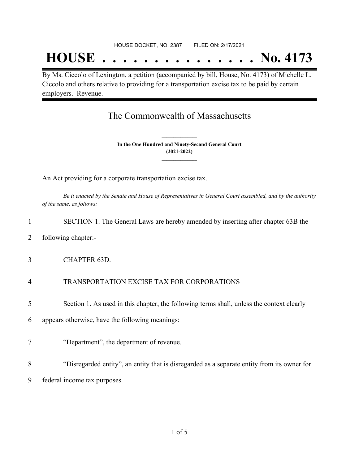## **HOUSE . . . . . . . . . . . . . . . No. 4173**

By Ms. Ciccolo of Lexington, a petition (accompanied by bill, House, No. 4173) of Michelle L. Ciccolo and others relative to providing for a transportation excise tax to be paid by certain employers. Revenue.

## The Commonwealth of Massachusetts

**In the One Hundred and Ninety-Second General Court (2021-2022) \_\_\_\_\_\_\_\_\_\_\_\_\_\_\_**

**\_\_\_\_\_\_\_\_\_\_\_\_\_\_\_**

An Act providing for a corporate transportation excise tax.

Be it enacted by the Senate and House of Representatives in General Court assembled, and by the authority *of the same, as follows:*

| $\mathbf{1}$   | SECTION 1. The General Laws are hereby amended by inserting after chapter 63B the           |
|----------------|---------------------------------------------------------------------------------------------|
| 2              | following chapter:-                                                                         |
| 3              | <b>CHAPTER 63D.</b>                                                                         |
| $\overline{4}$ | TRANSPORTATION EXCISE TAX FOR CORPORATIONS                                                  |
| 5              | Section 1. As used in this chapter, the following terms shall, unless the context clearly   |
| 6              | appears otherwise, have the following meanings:                                             |
| $\overline{7}$ | "Department", the department of revenue.                                                    |
| 8              | "Disregarded entity", an entity that is disregarded as a separate entity from its owner for |
| 9              | federal income tax purposes.                                                                |
|                |                                                                                             |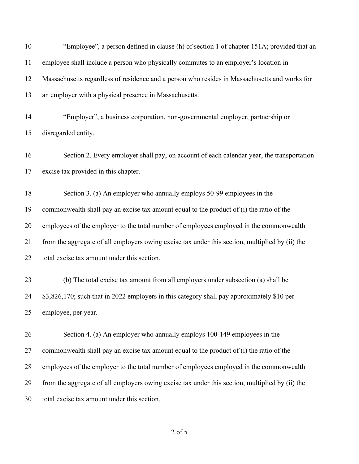| 10 | "Employee", a person defined in clause (h) of section 1 of chapter 151A; provided that an       |
|----|-------------------------------------------------------------------------------------------------|
| 11 | employee shall include a person who physically commutes to an employer's location in            |
| 12 | Massachusetts regardless of residence and a person who resides in Massachusetts and works for   |
| 13 | an employer with a physical presence in Massachusetts.                                          |
| 14 | "Employer", a business corporation, non-governmental employer, partnership or                   |
| 15 | disregarded entity.                                                                             |
| 16 | Section 2. Every employer shall pay, on account of each calendar year, the transportation       |
| 17 | excise tax provided in this chapter.                                                            |
| 18 | Section 3. (a) An employer who annually employs 50-99 employees in the                          |
| 19 | commonwealth shall pay an excise tax amount equal to the product of (i) the ratio of the        |
| 20 | employees of the employer to the total number of employees employed in the commonwealth         |
| 21 | from the aggregate of all employers owing excise tax under this section, multiplied by (ii) the |
| 22 | total excise tax amount under this section.                                                     |
| 23 | (b) The total excise tax amount from all employers under subsection (a) shall be                |
| 24 | \$3,826,170; such that in 2022 employers in this category shall pay approximately \$10 per      |
| 25 | employee, per year.                                                                             |
| 26 | Section 4. (a) An employer who annually employs 100-149 employees in the                        |
| 27 | commonwealth shall pay an excise tax amount equal to the product of (i) the ratio of the        |
| 28 | employees of the employer to the total number of employees employed in the commonwealth         |
| 29 | from the aggregate of all employers owing excise tax under this section, multiplied by (ii) the |
| 30 | total excise tax amount under this section.                                                     |
|    |                                                                                                 |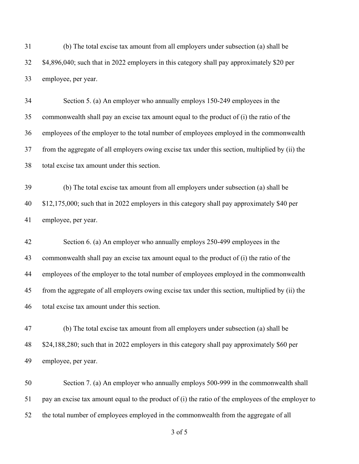(b) The total excise tax amount from all employers under subsection (a) shall be \$4,896,040; such that in 2022 employers in this category shall pay approximately \$20 per employee, per year.

 Section 5. (a) An employer who annually employs 150-249 employees in the commonwealth shall pay an excise tax amount equal to the product of (i) the ratio of the employees of the employer to the total number of employees employed in the commonwealth from the aggregate of all employers owing excise tax under this section, multiplied by (ii) the total excise tax amount under this section.

 (b) The total excise tax amount from all employers under subsection (a) shall be \$12,175,000; such that in 2022 employers in this category shall pay approximately \$40 per employee, per year.

 Section 6. (a) An employer who annually employs 250-499 employees in the commonwealth shall pay an excise tax amount equal to the product of (i) the ratio of the employees of the employer to the total number of employees employed in the commonwealth from the aggregate of all employers owing excise tax under this section, multiplied by (ii) the total excise tax amount under this section.

 (b) The total excise tax amount from all employers under subsection (a) shall be \$24,188,280; such that in 2022 employers in this category shall pay approximately \$60 per employee, per year.

 Section 7. (a) An employer who annually employs 500-999 in the commonwealth shall pay an excise tax amount equal to the product of (i) the ratio of the employees of the employer to the total number of employees employed in the commonwealth from the aggregate of all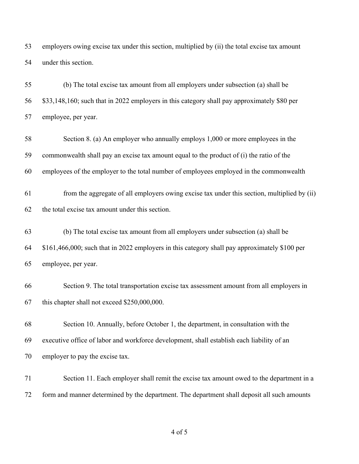employers owing excise tax under this section, multiplied by (ii) the total excise tax amount under this section.

 (b) The total excise tax amount from all employers under subsection (a) shall be \$33,148,160; such that in 2022 employers in this category shall pay approximately \$80 per employee, per year.

 Section 8. (a) An employer who annually employs 1,000 or more employees in the commonwealth shall pay an excise tax amount equal to the product of (i) the ratio of the employees of the employer to the total number of employees employed in the commonwealth

 from the aggregate of all employers owing excise tax under this section, multiplied by (ii) the total excise tax amount under this section.

 (b) The total excise tax amount from all employers under subsection (a) shall be \$161,466,000; such that in 2022 employers in this category shall pay approximately \$100 per employee, per year.

 Section 9. The total transportation excise tax assessment amount from all employers in this chapter shall not exceed \$250,000,000.

 Section 10. Annually, before October 1, the department, in consultation with the executive office of labor and workforce development, shall establish each liability of an employer to pay the excise tax.

 Section 11. Each employer shall remit the excise tax amount owed to the department in a form and manner determined by the department. The department shall deposit all such amounts